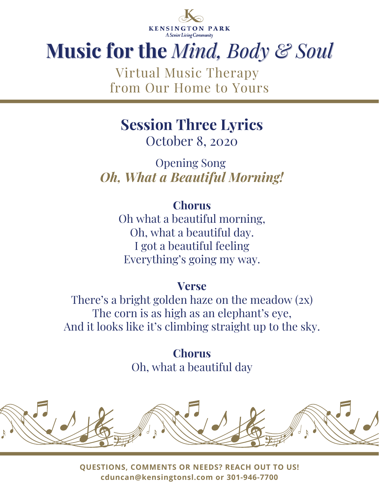

Virtual Music Therapy from Our Home to Yours

**Session Three Lyrics**

October 8, 2020

Opening Song *Oh, What a Beautiful Morning!*

### **Chorus**

Oh what a beautiful morning, Oh, what a beautiful day. I got a beautiful feeling Everything's going my way.

### **Verse**

There's a bright golden haze on the meadow (2x) The corn is as high as an elephant's eye, And it looks like it's climbing straight up to the sky.

> **Chorus** Oh, what a beautiful day

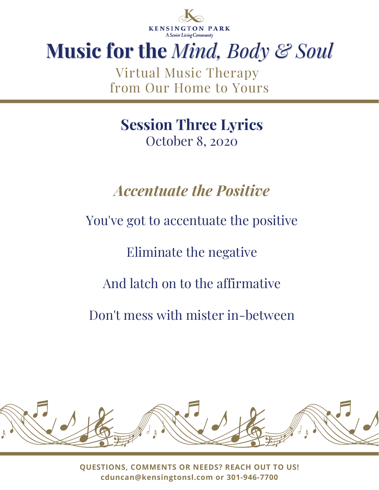

Virtual Music Therapy from Our Home to Yours

**Session Three Lyrics** October 8, 2020

*Accentuate the Positive*

You've got to accentuate the positive

Eliminate the negative

And latch on to the affirmative

Don't mess with mister in-between

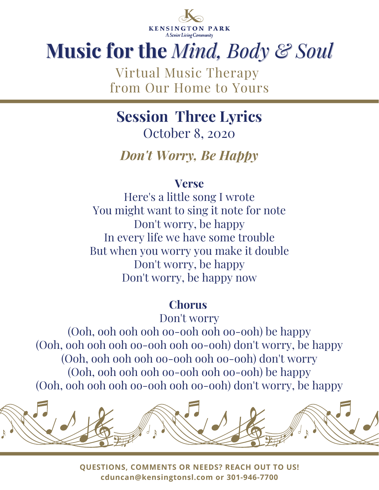

Virtual Music Therapy from Our Home to Yours

**Session Three Lyrics** October 8, 2020

*Don't Worry, Be Happy*

#### **Verse**

Here's a little song I wrote You might want to sing it note for note Don't worry, be happy In every life we have some trouble But when you worry you make it double Don't worry, be happy Don't worry, be happy now

#### **Chorus**

Don't worry

(Ooh, ooh ooh ooh oo-ooh ooh oo-ooh) be happy (Ooh, ooh ooh ooh oo-ooh ooh oo-ooh) don't worry, be happy (Ooh, ooh ooh ooh oo-ooh ooh oo-ooh) don't worry (Ooh, ooh ooh ooh oo-ooh ooh oo-ooh) be happy (Ooh, ooh ooh ooh oo-ooh ooh oo-ooh) don't worry, be happy